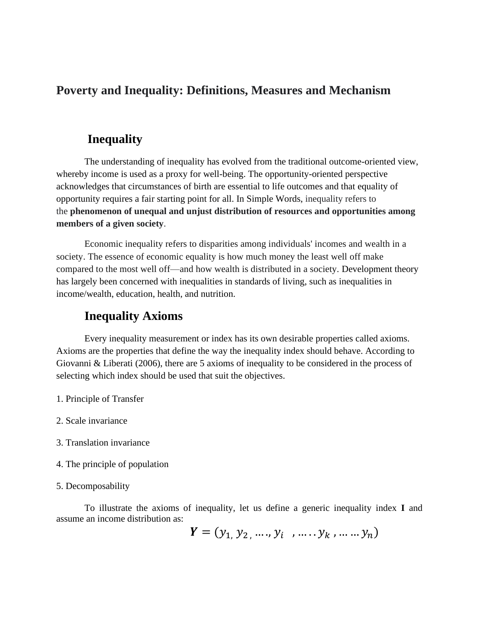## **Poverty and Inequality: Definitions, Measures and Mechanism**

### **Inequality**

The understanding of inequality has evolved from the traditional outcome-oriented view, whereby income is used as a proxy for well-being. The opportunity-oriented perspective acknowledges that circumstances of birth are essential to life outcomes and that equality of opportunity requires a fair starting point for all. In Simple Words, inequality refers to the **phenomenon of unequal and unjust distribution of resources and opportunities among members of a given society**.

Economic inequality refers to disparities among individuals' incomes and wealth in a society. The essence of economic equality is how much money the least well off make compared to the most well off—and how wealth is distributed in a society. Development theory has largely been concerned with inequalities in standards of living, such as inequalities in income/wealth, education, health, and nutrition.

### **Inequality Axioms**

Every inequality measurement or index has its own desirable properties called axioms. Axioms are the properties that define the way the inequality index should behave. According to Giovanni & Liberati (2006), there are 5 axioms of inequality to be considered in the process of selecting which index should be used that suit the objectives.

- 1. Principle of Transfer
- 2. Scale invariance
- 3. Translation invariance
- 4. The principle of population

#### 5. Decomposability

To illustrate the axioms of inequality, let us define a generic inequality index **I** and assume an income distribution as:

$$
\mathbf{Y}=(y_1, y_2, \ldots, y_i \quad \ldots \ldots y_k, \ldots \ldots y_n)
$$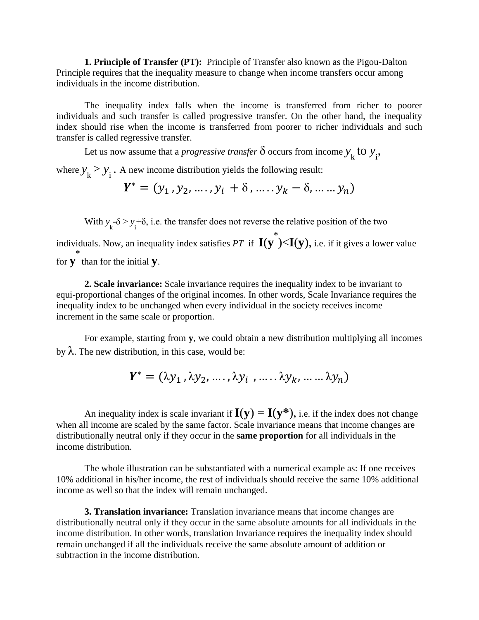**1. Principle of Transfer (PT):** Principle of Transfer also known as the Pigou-Dalton Principle requires that the inequality measure to change when income transfers occur among individuals in the income distribution.

The inequality index falls when the income is transferred from richer to poorer individuals and such transfer is called progressive transfer. On the other hand, the inequality index should rise when the income is transferred from poorer to richer individuals and such transfer is called regressive transfer.

Let us now assume that a *progressive transfer*  $\delta$  occurs from income  $y_k$  to  $y_i$ ,

where  $y_k > y_i$ . A new income distribution yields the following result:

$$
Y^* = (y_1, y_2, \dots, y_i + \delta, \dots, y_k - \delta, \dots, y_n)
$$

With  $y_k - \delta > y_i + \delta$ , i.e. the transfer does not reverse the relative position of the two individuals. Now, an inequality index satisfies *PT* if **I**(**y \*** )<**I**(**y**), i.e. if it gives a lower value for **y \*** than for the initial **y**.

**2. Scale invariance:** Scale invariance requires the inequality index to be invariant to equi-proportional changes of the original incomes. In other words, Scale Invariance requires the inequality index to be unchanged when every individual in the society receives income increment in the same scale or proportion.

For example, starting from **y**, we could obtain a new distribution multiplying all incomes by  $\lambda$ . The new distribution, in this case, would be:

$$
Y^* = (\lambda y_1, \lambda y_2, \dots, \lambda y_i, \dots, \lambda y_k, \dots, \lambda y_n)
$$

An inequality index is scale invariant if  $I(y) = I(y^*)$ , i.e. if the index does not change when all income are scaled by the same factor. Scale invariance means that income changes are distributionally neutral only if they occur in the **same proportion** for all individuals in the income distribution.

The whole illustration can be substantiated with a numerical example as: If one receives 10% additional in his/her income, the rest of individuals should receive the same 10% additional income as well so that the index will remain unchanged.

**3. Translation invariance:** Translation invariance means that income changes are distributionally neutral only if they occur in the same absolute amounts for all individuals in the income distribution. In other words, translation Invariance requires the inequality index should remain unchanged if all the individuals receive the same absolute amount of addition or subtraction in the income distribution.